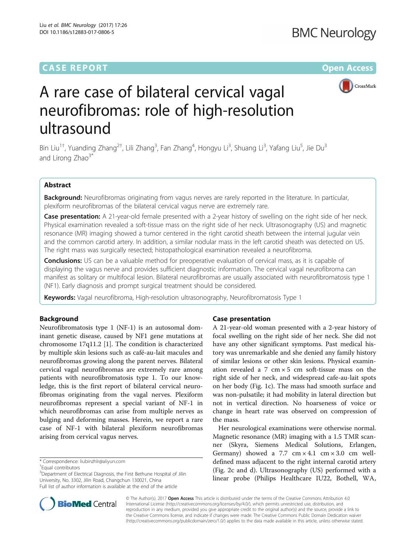## **CASE REPORT CASE REPORT CASE ACCESS**



# A rare case of bilateral cervical vagal neurofibromas: role of high-resolution ultrasound

Bin Liu<sup>1†</sup>, Yuanding Zhang<sup>2†</sup>, Lili Zhang<sup>3</sup>, Fan Zhang<sup>4</sup>, Hongyu Li<sup>3</sup>, Shuang Li<sup>3</sup>, Yafang Liu<sup>5</sup>, Jie Du<sup>3</sup> and Lirong Zhao<sup>3\*</sup>

## Abstract

Background: Neurofibromas originating from vagus nerves are rarely reported in the literature. In particular, plexiform neurofibromas of the bilateral cervical vagus nerve are extremely rare.

Case presentation: A 21-year-old female presented with a 2-year history of swelling on the right side of her neck. Physical examination revealed a soft-tissue mass on the right side of her neck. Ultrasonography (US) and magnetic resonance (MR) imaging showed a tumor centered in the right carotid sheath between the internal jugular vein and the common carotid artery. In addition, a similar nodular mass in the left carotid sheath was detected on US. The right mass was surgically resected; histopathological examination revealed a neurofibroma.

**Conclusions:** US can be a valuable method for preoperative evaluation of cervical mass, as it is capable of displaying the vagus nerve and provides sufficient diagnostic information. The cervical vagal neurofibroma can manifest as solitary or multifocal lesion. Bilateral neurofibromas are usually associated with neurofibromatosis type 1 (NF1). Early diagnosis and prompt surgical treatment should be considered.

Keywords: Vagal neurofibroma, High-resolution ultrasonography, Neurofibromatosis Type 1

## Background

Neurofibromatosis type 1 (NF-1) is an autosomal dominant genetic disease, caused by NF1 gene mutations at chromosome 17q11.2 [[1](#page-4-0)]. The condition is characterized by multiple skin lesions such as café-au-lait macules and neurofibromas growing along the parent nerves. Bilateral cervical vagal neurofibromas are extremely rare among patients with neurofibromatosis type 1. To our knowledge, this is the first report of bilateral cervical neurofibromas originating from the vagal nerves. Plexiform neurofibromas represent a special variant of NF-1 in which neurofibromas can arise from multiple nerves as bulging and deforming masses. Herein, we report a rare case of NF-1 with bilateral plexiform neurofibromas arising from cervical vagus nerves.

Equal contributors

<sup>3</sup>Department of Electrical Diagnosis, the First Bethune Hospital of Jilin University, No. 3302, Jilin Road, Changchun 130021, China Full list of author information is available at the end of the article

## Case presentation

A 21-year-old woman presented with a 2-year history of focal swelling on the right side of her neck. She did not have any other significant symptoms. Past medical history was unremarkable and she denied any family history of similar lesions or other skin lesions. Physical examination revealed a 7  $\text{cm} \times 5$   $\text{cm}$  soft-tissue mass on the right side of her neck, and widespread cafe-au-lait spots on her body (Fig. [1c](#page-1-0)). The mass had smooth surface and was non-pulsatile; it had mobility in lateral direction but not in vertical direction. No hoarseness of voice or change in heart rate was observed on compression of the mass.

Her neurological examinations were otherwise normal. Magnetic resonance (MR) imaging with a 1.5 TMR scanner (Skyra, Siemens Medical Solutions, Erlangen, Germany) showed a 7.7  $cm \times 4.1$   $cm \times 3.0$   $cm$  welldefined mass adjacent to the right internal carotid artery (Fig. [2c and d](#page-1-0)). Ultrasonography (US) performed with a linear probe (Philips Healthcare IU22, Bothell, WA,



© The Author(s). 2017 **Open Access** This article is distributed under the terms of the Creative Commons Attribution 4.0 International License [\(http://creativecommons.org/licenses/by/4.0/](http://creativecommons.org/licenses/by/4.0/)), which permits unrestricted use, distribution, and reproduction in any medium, provided you give appropriate credit to the original author(s) and the source, provide a link to the Creative Commons license, and indicate if changes were made. The Creative Commons Public Domain Dedication waiver [\(http://creativecommons.org/publicdomain/zero/1.0/](http://creativecommons.org/publicdomain/zero/1.0/)) applies to the data made available in this article, unless otherwise stated.

<sup>\*</sup> Correspondence: [liubinzhlr@aliyun.com](mailto:liubinzhlr@aliyun.com) †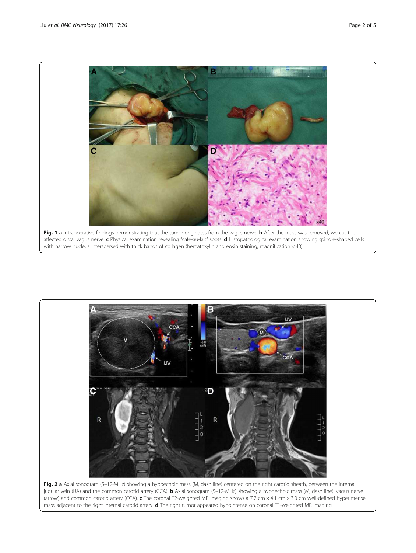<span id="page-1-0"></span>



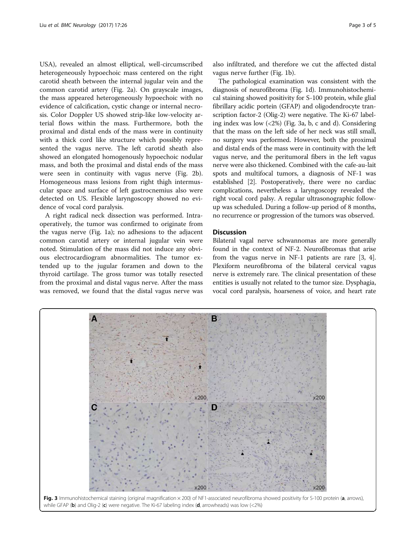USA), revealed an almost elliptical, well-circumscribed heterogeneously hypoechoic mass centered on the right carotid sheath between the internal jugular vein and the common carotid artery (Fig. [2a](#page-1-0)). On grayscale images, the mass appeared heterogeneously hypoechoic with no evidence of calcification, cystic change or internal necrosis. Color Doppler US showed strip-like low-velocity arterial flows within the mass. Furthermore, both the proximal and distal ends of the mass were in continuity with a thick cord like structure which possibly represented the vagus nerve. The left carotid sheath also showed an elongated homogenously hypoechoic nodular mass, and both the proximal and distal ends of the mass were seen in continuity with vagus nerve (Fig. [2b](#page-1-0)). Homogeneous mass lesions from right thigh intermuscular space and surface of left gastrocnemius also were detected on US. Flexible laryngoscopy showed no evidence of vocal cord paralysis.

A right radical neck dissection was performed. Intraoperatively, the tumor was confirmed to originate from the vagus nerve (Fig. [1a\)](#page-1-0); no adhesions to the adjacent common carotid artery or internal jugular vein were noted. Stimulation of the mass did not induce any obvious electrocardiogram abnormalities. The tumor extended up to the jugular foramen and down to the thyroid cartilage. The gross tumor was totally resected from the proximal and distal vagus nerve. After the mass was removed, we found that the distal vagus nerve was

also infiltrated, and therefore we cut the affected distal vagus nerve further (Fig. [1b](#page-1-0)).

The pathological examination was consistent with the diagnosis of neurofibroma (Fig. [1d](#page-1-0)). Immunohistochemical staining showed positivity for S-100 protein, while glial fibrillary acidic portein (GFAP) and oligodendrocyte transcription factor-2 (Olig-2) were negative. The Ki-67 labeling index was low (<2%) (Fig. 3a, b, c and d). Considering that the mass on the left side of her neck was still small, no surgery was performed. However, both the proximal and distal ends of the mass were in continuity with the left vagus nerve, and the peritumoral fibers in the left vagus nerve were also thickened. Combined with the cafe-au-lait spots and multifocal tumors, a diagnosis of NF-1 was established [[2](#page-4-0)]. Postoperatively, there were no cardiac complications, nevertheless a laryngoscopy revealed the right vocal cord palsy. A regular ultrasonographic followup was scheduled. During a follow-up period of 8 months, no recurrence or progression of the tumors was observed.

## **Discussion**

Bilateral vagal nerve schwannomas are more generally found in the context of NF-2. Neurofibromas that arise from the vagus nerve in NF-1 patients are rare [[3, 4](#page-4-0)]. Plexiform neurofibroma of the bilateral cervical vagus nerve is extremely rare. The clinical presentation of these entities is usually not related to the tumor size. Dysphagia, vocal cord paralysis, hoarseness of voice, and heart rate

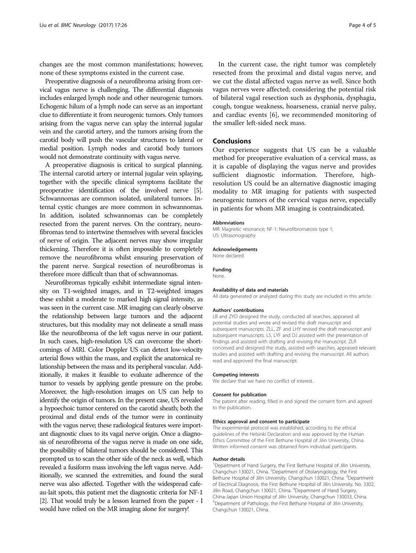changes are the most common manifestations; however, none of these symptoms existed in the current case.

Preoperative diagnosis of a neurofibroma arising from cervical vagus nerve is challenging. The differential diagnosis includes enlarged lymph node and other neurogenic tumors. Echogenic hilum of a lymph node can serve as an important clue to differentiate it from neurogenic tumors. Only tumors arising from the vagus nerve can splay the internal jugular vein and the carotid artery, and the tumors arising from the carotid body will push the vascular structures to lateral or medial position. Lymph nodes and carotid body tumors would not demonstrate continuity with vagus nerve.

A preoperative diagnosis is critical to surgical planning. The internal carotid artery or internal jugular vein splaying, together with the specific clinical symptoms facilitate the preoperative identification of the involved nerve [[5](#page-4-0)]. Schwannomas are common isolated, unilateral tumors. Internal cystic changes are more common in schwannomas. In addition, isolated schwannomas can be completely resected from the parent nerves. On the contrary, neurofibromas tend to intertwine themselves with several fascicles of nerve of origin. The adjacent nerves may show irregular thickening. Therefore it is often impossible to completely remove the neurofibroma whilst ensuring preservation of the parent nerve. Surgical resection of neurofibromas is therefore more difficult than that of schwannomas.

Neurofibromas typically exhibit intermediate signal intensity on T1-weighted images, and in T2-weighted images these exhibit a moderate to marked high signal intensity, as was seen in the current case. MR imaging can clearly observe the relationship between large tumors and the adjacent structures, but this modality may not delineate a small mass like the neurofibroma of the left vagus nerve in our patient. In such cases, high-resolution US can overcome the shortcomings of MRI. Color Doppler US can detect low-velocity arterial flows within the mass, and explicit the anatomical relationship between the mass and its peripheral vascular. Additionally, it makes it feasible to evaluate adherence of the tumor to vessels by applying gentle pressure on the probe. Moreover, the high-resolution images on US can help to identify the origin of tumors. In the present case, US revealed a hypoechoic tumor centered on the carotid sheath; both the proximal and distal ends of the tumor were in continuity with the vagus nerve; these radiological features were important diagnostic clues to its vagal nerve origin. Once a diagnosis of neurofibroma of the vagus nerve is made on one side, the possibility of bilateral tumors should be considered. This prompted us to scan the other side of the neck as well, which revealed a fusiform mass involving the left vagus nerve. Additionally, we scanned the extremities, and found the sural nerve was also affected. Together with the widespread cafeau-lait spots, this patient met the diagnostic criteria for NF-1 [[2](#page-4-0)]. That would truly be a lesson learned from the paper - I would have relied on the MR imaging alone for surgery!

In the current case, the right tumor was completely resected from the proximal and distal vagus nerve, and we cut the distal affected vagus nerve as well. Since both vagus nerves were affected; considering the potential risk of bilateral vagal resection such as dysphonia, dysphagia, cough, tongue weakness, hoarseness, cranial nerve palsy, and cardiac events [\[6](#page-4-0)], we recommended monitoring of the smaller left-sided neck mass.

## Conclusions

Our experience suggests that US can be a valuable method for preoperative evaluation of a cervical mass, as it is capable of displaying the vagus nerve and provides sufficient diagnostic information. Therefore, highresolution US could be an alternative diagnostic imaging modality to MR imaging for patients with suspected neurogenic tumors of the cervical vagus nerve, especially in patients for whom MR imaging is contraindicated.

#### Abbreviations

MR: Magnetic resonance; NF-1: Neurofibromatosis type 1; US: Ultrasonography

#### Acknowledgements

None declared.

#### Funding

**None** 

#### Availability of data and materials

All data generated or analyzed during this study are included in this article.

#### Authors' contributions

LB and ZYD designed the study, conducted all searches, appraised all potential studies and wrote and revised the draft manuscript and subsequent manuscripts. ZLL, ZF and LHY revised the draft manuscript and subsequent manuscripts. LS, LYF and DJ assisted with the presentation of findings and assisted with drafting and revising the manuscript. ZLR conceived and designed the study, assisted with searches, appraised relevant studies and assisted with drafting and revising the manuscript. All authors read and approved the final manuscript.

#### Competing interests

We declare that we have no conflict of interest.

#### Consent for publication

The patient after reading, filled in and signed the consent form and agreed to the publication.

#### Ethics approval and consent to participate

The experimental protocol was established, according to the ethical guidelines of the Helsinki Declaration and was approved by the Human Ethics Committee of the First Bethune Hospital of Jilin University, China. Written informed consent was obtained from individual participants.

#### Author details

<sup>1</sup>Department of Hand Surgery, the First Bethune Hospital of Jilin University, Changchun 130021, China. <sup>2</sup> Department of Otolaryngology, the First Bethune Hospital of Jilin University, Changchun 130021, China. <sup>3</sup>Department of Electrical Diagnosis, the First Bethune Hospital of Jilin University, No. 3302, Jilin Road, Changchun 130021, China. <sup>4</sup>Department of Hand Surgery, China-Japan Union Hospital of Jilin University, Changchun 130033, China. <sup>5</sup>Department of Pathology, the First Bethune Hospital of Jilin University Changchun 130021, China.